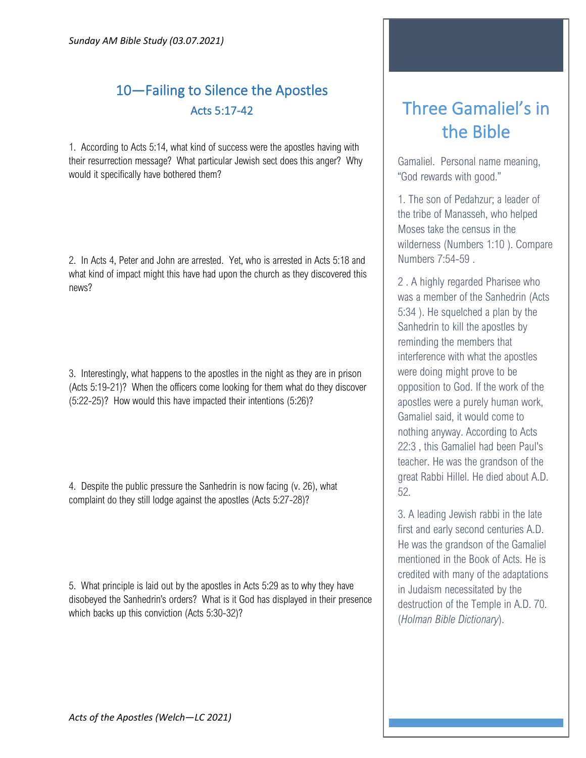## 10—Failing to Silence the Apostles Acts 5:17-42

1. According to Acts 5:14, what kind of success were the apostles having with their resurrection message? What particular Jewish sect does this anger? Why would it specifically have bothered them?

2. In Acts 4, Peter and John are arrested. Yet, who is arrested in Acts 5:18 and what kind of impact might this have had upon the church as they discovered this news?

3. Interestingly, what happens to the apostles in the night as they are in prison (Acts 5:19-21)? When the officers come looking for them what do they discover (5:22-25)? How would this have impacted their intentions (5:26)?

4. Despite the public pressure the Sanhedrin is now facing (v. 26), what complaint do they still lodge against the apostles (Acts 5:27-28)?

5. What principle is laid out by the apostles in Acts 5:29 as to why they have disobeyed the Sanhedrin's orders? What is it God has displayed in their presence which backs up this conviction (Acts 5:30-32)?

## Three Gamaliel's in the Bible

Gamaliel. Personal name meaning, "God rewards with good."

1. The son of Pedahzur; a leader of the tribe of Manasseh, who helped Moses take the census in the wilderness (Numbers 1:10 ). Compare Numbers 7:54-59 .

2 . A highly regarded Pharisee who was a member of the Sanhedrin (Acts 5:34 ). He squelched a plan by the Sanhedrin to kill the apostles by reminding the members that interference with what the apostles were doing might prove to be opposition to God. If the work of the apostles were a purely human work, Gamaliel said, it would come to nothing anyway. According to Acts 22:3 , this Gamaliel had been Paul's teacher. He was the grandson of the great Rabbi Hillel. He died about A.D. 52.

3. A leading Jewish rabbi in the late first and early second centuries A.D. He was the grandson of the Gamaliel mentioned in the Book of Acts. He is credited with many of the adaptations in Judaism necessitated by the destruction of the Temple in A.D. 70. (*Holman Bible Dictionary*).